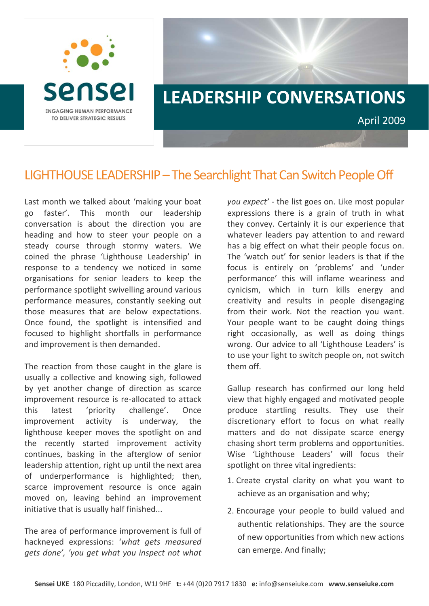



## LIGHTHOUSE LEADERSHIP – The Searchlight That Can Switch People Off

Last month we talked about 'making your boat go faster'. This month our leadership conversation is about the direction you are heading and how to steer your people on a steady course through stormy waters. We coined the phrase 'Lighthouse Leadership' in response to a tendency we noticed in some organisations for senior leaders to keep the performance spotlight swivelling around various performance measures, constantly seeking out those measures that are below expectations. Once found, the spotlight is intensified and focused to highlight shortfalls in performance and improvement is then demanded.

The reaction from those caught in the glare is usually a collective and knowing sigh, followed by yet another change of direction as scarce improvement resource is re-allocated to attack this latest 'priority challenge'. Once improvement activity is underway, the lighthouse keeper moves the spotlight on and the recently started improvement activity continues, basking in the afterglow of senior leadership attention, right up until the next area of underperformance is highlighted; then, scarce improvement resource is once again moved on, leaving behind an improvement initiative that is usually half finished...

The area of performance improvement is full of hackneyed expressions: '*what gets measured gets done', 'you get what you inspect not what* *you expect'* ‐ the list goes on. Like most popular expressions there is a grain of truth in what they convey. Certainly it is our experience that whatever leaders pay attention to and reward has a big effect on what their people focus on. The 'watch out' for senior leaders is that if the focus is entirely on 'problems' and 'under performance' this will inflame weariness and cynicism, which in turn kills energy and creativity and results in people disengaging from their work. Not the reaction you want. Your people want to be caught doing things right occasionally, as well as doing things wrong. Our advice to all 'Lighthouse Leaders' is to use your light to switch people on, not switch them off.

Gallup research has confirmed our long held view that highly engaged and motivated people produce startling results. They use their discretionary effort to focus on what really matters and do not dissipate scarce energy chasing short term problems and opportunities. Wise 'Lighthouse Leaders' will focus their spotlight on three vital ingredients:

- 1. Create crystal clarity on what you want to achieve as an organisation and why;
- 2. Encourage your people to build valued and authentic relationships. They are the source of new opportunities from which new actions can emerge. And finally;